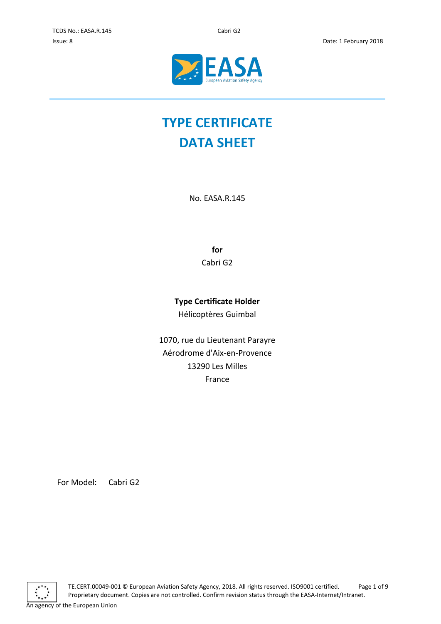

# **TYPE CERTIFICATE DATA SHEET**

No. EASA.R.145

**for** Cabri G2

## **Type Certificate Holder**

Hélicoptères Guimbal

1070, rue du Lieutenant Parayre Aérodrome d'Aix-en-Provence 13290 Les Milles France

For Model: Cabri G2

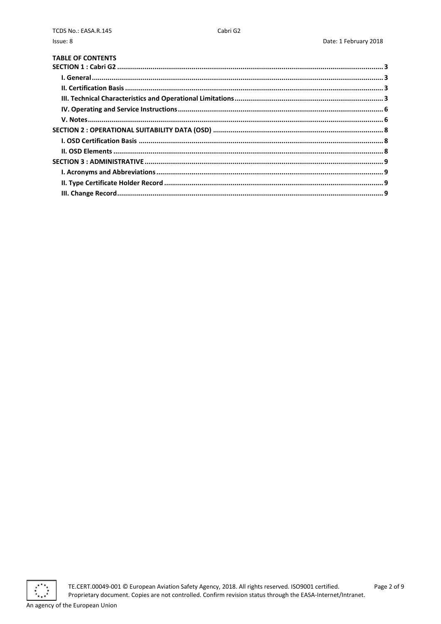| <b>TABLE OF CONTENTS</b> |  |
|--------------------------|--|
|                          |  |
|                          |  |
|                          |  |
|                          |  |
|                          |  |
|                          |  |
|                          |  |
|                          |  |
|                          |  |
|                          |  |
|                          |  |
|                          |  |
|                          |  |
|                          |  |

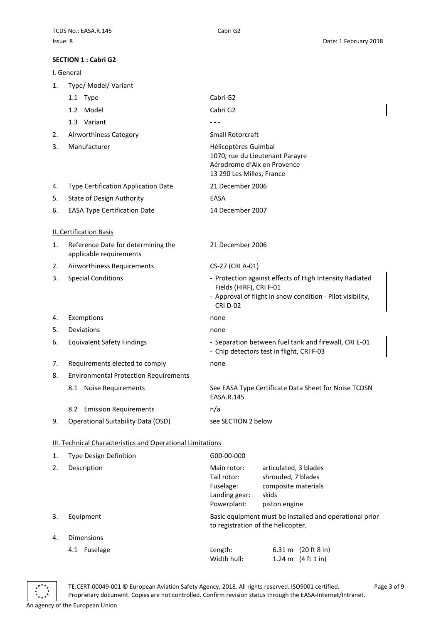#### <span id="page-2-0"></span>**SECTION 1 : Cabri G2**

<span id="page-2-2"></span><span id="page-2-1"></span>

|    | <u>I. General</u>                                             |                                                                                                                                                                     |                                                                                                                     |  |  |  |
|----|---------------------------------------------------------------|---------------------------------------------------------------------------------------------------------------------------------------------------------------------|---------------------------------------------------------------------------------------------------------------------|--|--|--|
| 1. | Type/ Model/ Variant                                          |                                                                                                                                                                     |                                                                                                                     |  |  |  |
|    | 1.1 Type                                                      | Cabri G2                                                                                                                                                            |                                                                                                                     |  |  |  |
|    | 1.2 Model                                                     | Cabri G2                                                                                                                                                            |                                                                                                                     |  |  |  |
|    | 1.3 Variant                                                   |                                                                                                                                                                     |                                                                                                                     |  |  |  |
| 2. | Airworthiness Category                                        | Small Rotorcraft                                                                                                                                                    |                                                                                                                     |  |  |  |
| 3. | Manufacturer                                                  |                                                                                                                                                                     | Hélicoptères Guimbal<br>1070, rue du Lieutenant Parayre<br>Aérodrome d'Aix en Provence<br>13 290 Les Milles, France |  |  |  |
| 4. | Type Certification Application Date                           | 21 December 2006                                                                                                                                                    |                                                                                                                     |  |  |  |
| 5. | <b>State of Design Authority</b>                              | EASA                                                                                                                                                                |                                                                                                                     |  |  |  |
| 6. | <b>EASA Type Certification Date</b>                           | 14 December 2007                                                                                                                                                    |                                                                                                                     |  |  |  |
|    | <b>II. Certification Basis</b>                                |                                                                                                                                                                     |                                                                                                                     |  |  |  |
| 1. | Reference Date for determining the<br>applicable requirements | 21 December 2006                                                                                                                                                    |                                                                                                                     |  |  |  |
| 2. | Airworthiness Requirements                                    | CS-27 (CRI A-01)                                                                                                                                                    |                                                                                                                     |  |  |  |
| 3. | <b>Special Conditions</b>                                     | - Protection against effects of High Intensity Radiated<br>Fields (HIRF), CRI F-01<br>- Approval of flight in snow condition - Pilot visibility,<br><b>CRI D-02</b> |                                                                                                                     |  |  |  |
| 4. | Exemptions                                                    | none                                                                                                                                                                |                                                                                                                     |  |  |  |
| 5. | Deviations                                                    | none                                                                                                                                                                |                                                                                                                     |  |  |  |
| 6. | <b>Equivalent Safety Findings</b>                             | - Separation between fuel tank and firewall, CRI E-01<br>- Chip detectors test in flight, CRI F-03                                                                  |                                                                                                                     |  |  |  |
| 7. | Requirements elected to comply                                | none                                                                                                                                                                |                                                                                                                     |  |  |  |
| 8. | <b>Environmental Protection Requirements</b>                  |                                                                                                                                                                     |                                                                                                                     |  |  |  |
|    | 8.1 Noise Requirements                                        | See EASA Type Certificate Data Sheet for Noise TCDSN<br>EASA.R.145                                                                                                  |                                                                                                                     |  |  |  |
|    | <b>Emission Requirements</b><br>8.2                           | n/a                                                                                                                                                                 |                                                                                                                     |  |  |  |
| 9. | Operational Suitability Data (OSD)                            | see SECTION 2 below                                                                                                                                                 |                                                                                                                     |  |  |  |
|    | III. Technical Characteristics and Operational Limitations    |                                                                                                                                                                     |                                                                                                                     |  |  |  |
| 1. | Type Design Definition                                        | G00-00-000                                                                                                                                                          |                                                                                                                     |  |  |  |
| 2. | Description                                                   | Main rotor:<br>Tail rotor:<br>Fuselage:<br>Landing gear:<br>Powerplant:                                                                                             | articulated, 3 blades<br>shrouded, 7 blades<br>composite materials<br>skids<br>piston engine                        |  |  |  |
| 3. | Equipment                                                     |                                                                                                                                                                     | Basic equipment must be installed and operational prior<br>to registration of the helicopter.                       |  |  |  |
| 4. | Dimensions                                                    |                                                                                                                                                                     |                                                                                                                     |  |  |  |

<span id="page-2-3"></span>

TE.CERT.00049-001 © European Aviation Safety Agency, 2018. All rights reserved. ISO9001 certified. Page 3 of 9 Proprietary document. Copies are not controlled. Confirm revision status through the EASA-Internet/Intranet. An agency of the European Union

Width hull: 1.24 m (4 ft 1 in)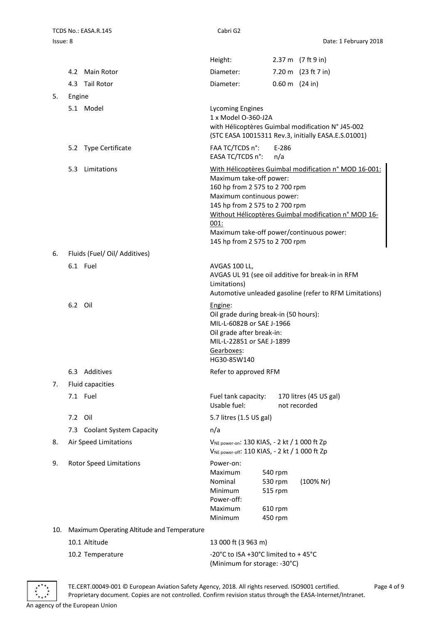|                                                                                                                                 |         |                                            | Height:                                                                                                                                                                      |                                                                                                          |  | 2.37 m (7 ft 9 in)                                                                                                                                        |
|---------------------------------------------------------------------------------------------------------------------------------|---------|--------------------------------------------|------------------------------------------------------------------------------------------------------------------------------------------------------------------------------|----------------------------------------------------------------------------------------------------------|--|-----------------------------------------------------------------------------------------------------------------------------------------------------------|
|                                                                                                                                 |         | 4.2 Main Rotor                             | Diameter:                                                                                                                                                                    |                                                                                                          |  | 7.20 m (23 ft 7 in)                                                                                                                                       |
|                                                                                                                                 |         | 4.3 Tail Rotor                             | Diameter:                                                                                                                                                                    |                                                                                                          |  | $0.60 \text{ m}$ (24 in)                                                                                                                                  |
| 5.                                                                                                                              | Engine  |                                            |                                                                                                                                                                              |                                                                                                          |  |                                                                                                                                                           |
|                                                                                                                                 |         | 5.1 Model                                  | <b>Lycoming Engines</b><br>1 x Model O-360-J2A                                                                                                                               | with Hélicoptères Guimbal modification N° J45-002<br>(STC EASA 10015311 Rev.3, initially EASA.E.S.01001) |  |                                                                                                                                                           |
|                                                                                                                                 |         | 5.2 Type Certificate                       | FAA TC/TCDS n°:<br>EASA TC/TCDS n°:                                                                                                                                          | E-286<br>n/a                                                                                             |  |                                                                                                                                                           |
|                                                                                                                                 |         | 5.3 Limitations                            | Maximum take-off power:<br>160 hp from 2 575 to 2 700 rpm<br>Maximum continuous power:<br>145 hp from 2 575 to 2 700 rpm<br>001:<br>145 hp from 2 575 to 2 700 rpm           |                                                                                                          |  | With Hélicoptères Guimbal modification n° MOD 16-001:<br>Without Hélicoptères Guimbal modification n° MOD 16-<br>Maximum take-off power/continuous power: |
| 6.                                                                                                                              |         | Fluids (Fuel/ Oil/ Additives)              |                                                                                                                                                                              |                                                                                                          |  |                                                                                                                                                           |
|                                                                                                                                 |         | 6.1 Fuel                                   | AVGAS 100 LL,<br>Limitations)                                                                                                                                                |                                                                                                          |  | AVGAS UL 91 (see oil additive for break-in in RFM<br>Automotive unleaded gasoline (refer to RFM Limitations)                                              |
|                                                                                                                                 | 6.2 Oil |                                            | Engine:<br>Oil grade during break-in (50 hours):<br>MIL-L-6082B or SAE J-1966<br>Oil grade after break-in:<br>MIL-L-22851 or SAE J-1899<br><u>Gearboxes</u> :<br>HG30-85W140 |                                                                                                          |  |                                                                                                                                                           |
|                                                                                                                                 |         | 6.3 Additives                              | Refer to approved RFM                                                                                                                                                        |                                                                                                          |  |                                                                                                                                                           |
| 7.                                                                                                                              |         | <b>Fluid capacities</b>                    |                                                                                                                                                                              |                                                                                                          |  |                                                                                                                                                           |
|                                                                                                                                 |         | 7.1 Fuel                                   | Fuel tank capacity:<br>Usable fuel:                                                                                                                                          |                                                                                                          |  | 170 litres (45 US gal)<br>not recorded                                                                                                                    |
|                                                                                                                                 | 7.2 Oil |                                            | 5.7 litres (1.5 US gal)                                                                                                                                                      |                                                                                                          |  |                                                                                                                                                           |
|                                                                                                                                 |         | 7.3 Coolant System Capacity                | n/a                                                                                                                                                                          |                                                                                                          |  |                                                                                                                                                           |
| 8.                                                                                                                              |         | Air Speed Limitations                      | VNE power-on: 130 KIAS, - 2 kt / 1 000 ft Zp<br>VNE power-off: 110 KIAS, - 2 kt / 1 000 ft Zp                                                                                |                                                                                                          |  |                                                                                                                                                           |
| 9.                                                                                                                              |         | <b>Rotor Speed Limitations</b>             | Power-on:<br>Maximum<br>Nominal<br>Minimum<br>Power-off:<br>Maximum<br>Minimum                                                                                               | 540 rpm<br>530 rpm<br>515 rpm<br>610 rpm<br>450 rpm                                                      |  | (100% Nr)                                                                                                                                                 |
| 10.                                                                                                                             |         | Maximum Operating Altitude and Temperature |                                                                                                                                                                              |                                                                                                          |  |                                                                                                                                                           |
| 10.1 Altitude<br>13 000 ft (3 963 m)<br>-20°C to ISA +30°C limited to +45°C<br>10.2 Temperature<br>(Minimum for storage: -30°C) |         |                                            |                                                                                                                                                                              |                                                                                                          |  |                                                                                                                                                           |
|                                                                                                                                 |         |                                            |                                                                                                                                                                              |                                                                                                          |  |                                                                                                                                                           |



TE.CERT.00049-001 © European Aviation Safety Agency, 2018. All rights reserved. ISO9001 certified. Page 4 of 9 Proprietary document. Copies are not controlled. Confirm revision status through the EASA-Internet/Intranet. An agency of the European Union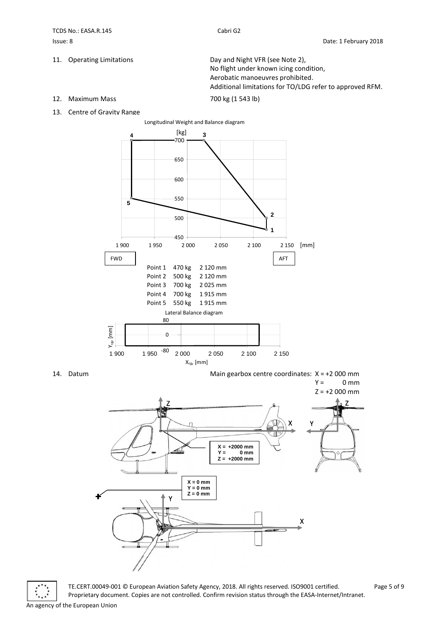11. Operating Limitations **Day and Night VFR** (see Note 2), No flight under known icing condition, Aerobatic manoeuvres prohibited. Additional limitations for TO/LDG refer to approved RFM.

12. Maximum Mass 700 kg (1 543 lb)

13. Centre of Gravity Range





TE.CERT.00049-001 © European Aviation Safety Agency, 2018. All rights reserved. ISO9001 certified. Page 5 of 9 Proprietary document. Copies are not controlled. Confirm revision status through the EASA-Internet/Intranet. An agency of the European Union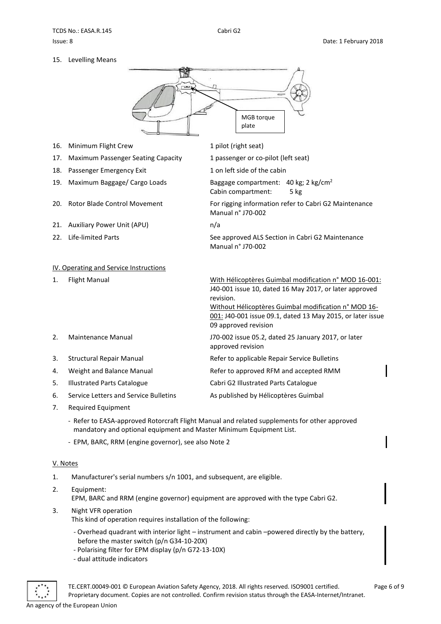15. Levelling Means



Cabin compartment: 5 kg

Manual n° J70-002

Manual n° J70-002

- 16. Minimum Flight Crew 1 pilot (right seat)
- 17. Maximum Passenger Seating Capacity 1 passenger or co-pilot (left seat)
- 18. Passenger Emergency Exit 1 on left side of the cabin
- 19. Maximum Baggage/ Cargo Loads Baggage compartment: 40 kg; 2 kg/cm<sup>2</sup>
- 20. Rotor Blade Control Movement For rigging information refer to Cabri G2 Maintenance
- 21. Auxiliary Power Unit (APU) m/a
- 22. Life-limited Parts See approved ALS Section in Cabri G2 Maintenance

<span id="page-5-0"></span>

|                       | IV. Operating and Service Instructions |                                                                                                                                                                                                                                                                            |  |  |  |
|-----------------------|----------------------------------------|----------------------------------------------------------------------------------------------------------------------------------------------------------------------------------------------------------------------------------------------------------------------------|--|--|--|
| 1.                    | Flight Manual                          | With Hélicoptères Guimbal modification n° MOD 16-001:<br>J40-001 issue 10, dated 16 May 2017, or later approved<br>revision.<br>Without Hélicoptères Guimbal modification n° MOD 16-<br>001: J40-001 issue 09.1, dated 13 May 2015, or later issue<br>09 approved revision |  |  |  |
| $\mathcal{P}_{\cdot}$ | Maintenance Manual                     | J70-002 issue 05.2, dated 25 January 2017, or later<br>approved revision                                                                                                                                                                                                   |  |  |  |
| 3.                    | Structural Repair Manual               | Refer to applicable Repair Service Bulletins                                                                                                                                                                                                                               |  |  |  |
| 4.                    | Weight and Balance Manual              | Refer to approved RFM and accepted RMM                                                                                                                                                                                                                                     |  |  |  |
| 5.                    | Illustrated Parts Catalogue            | Cabri G2 Illustrated Parts Catalogue                                                                                                                                                                                                                                       |  |  |  |
| 6.                    | Service Letters and Service Bulletins  | As published by Hélicoptères Guimbal                                                                                                                                                                                                                                       |  |  |  |

- 7. Required Equipment
	- Refer to EASA-approved Rotorcraft Flight Manual and related supplements for other approved mandatory and optional equipment and Master Minimum Equipment List.
	- EPM, BARC, RRM (engine governor), see also Note 2

### <span id="page-5-1"></span>V. Notes

- 1. Manufacturer's serial numbers s/n 1001, and subsequent, are eligible.
- 2. Equipment: EPM, BARC and RRM (engine governor) equipment are approved with the type Cabri G2.
- 3. Night VFR operation
	- This kind of operation requires installation of the following:
	- Overhead quadrant with interior light instrument and cabin –powered directly by the battery, before the master switch (p/n G34-10-20X)
	- Polarising filter for EPM display (p/n G72-13-10X)
	- dual attitude indicators

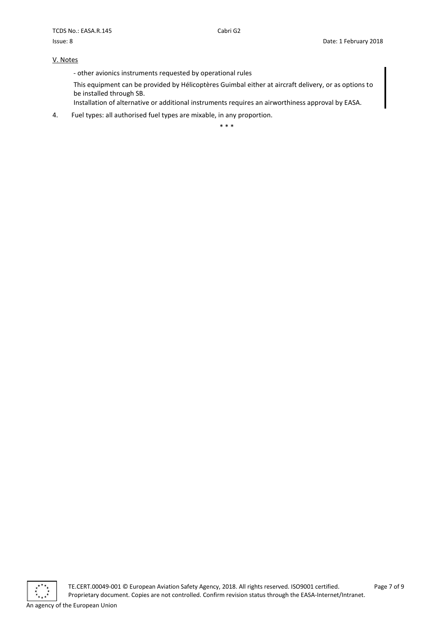#### V. Notes

- other avionics instruments requested by operational rules

This equipment can be provided by Hélicoptères Guimbal either at aircraft delivery, or as options to be installed through SB.

Installation of alternative or additional instruments requires an airworthiness approval by EASA.

4. Fuel types: all authorised fuel types are mixable, in any proportion.

\* \* \*

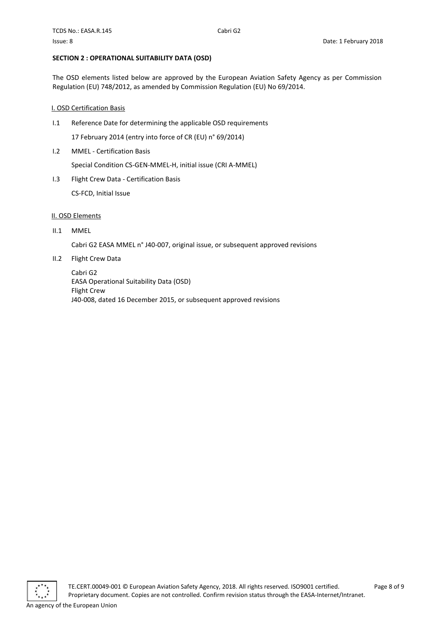#### <span id="page-7-0"></span>**SECTION 2 : OPERATIONAL SUITABILITY DATA (OSD)**

The OSD elements listed below are approved by the European Aviation Safety Agency as per Commission Regulation (EU) 748/2012, as amended by Commission Regulation (EU) No 69/2014.

#### <span id="page-7-1"></span>I. OSD Certification Basis

I.1 Reference Date for determining the applicable OSD requirements

17 February 2014 (entry into force of CR (EU) n° 69/2014)

I.2 MMEL - Certification Basis

Special Condition CS-GEN-MMEL-H, initial issue (CRI A-MMEL)

I.3 Flight Crew Data - Certification Basis

CS-FCD, Initial Issue

### <span id="page-7-2"></span>II. OSD Elements

II.1 MMEL

Cabri G2 EASA MMEL n° J40-007, original issue, or subsequent approved revisions

II.2 Flight Crew Data

Cabri G2 EASA Operational Suitability Data (OSD) Flight Crew J40-008, dated 16 December 2015, or subsequent approved revisions